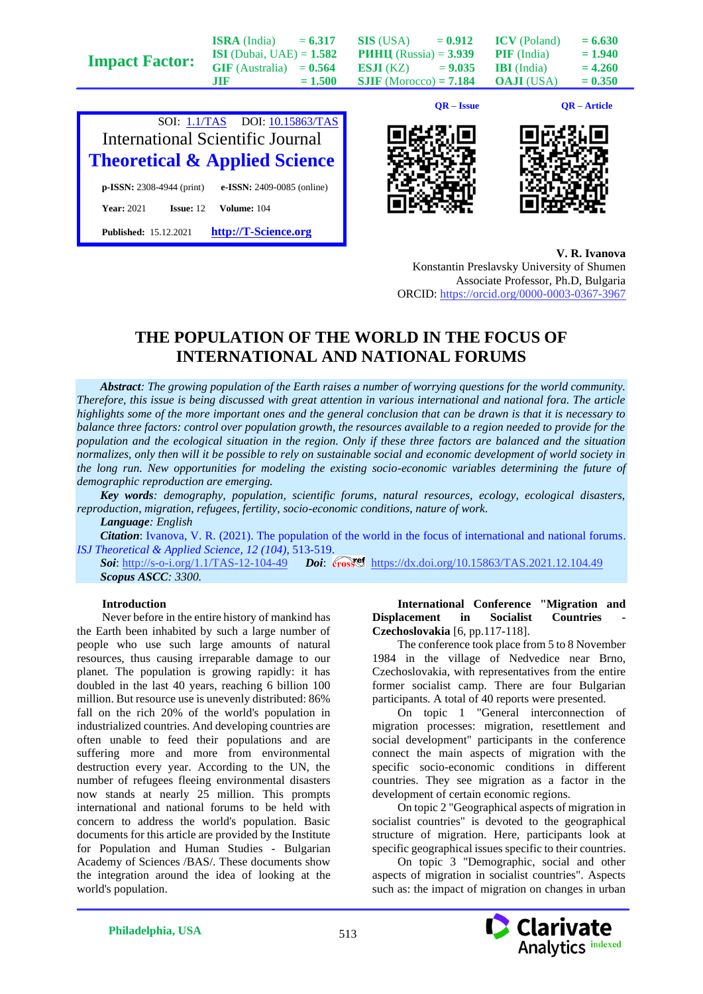| <b>Impact Factor:</b> | <b>ISI</b> (Dubai, UAE) = $1.582$<br>$GIF$ (Australia) = $0.564$ |           | <b>PHHII</b> (Russia) = $3.939$<br><b>ESJI</b> (KZ) = $9.035$ |              | <b>PIF</b> (India)<br><b>IBI</b> (India) | $= 1.940$<br>$= 4.260$ |
|-----------------------|------------------------------------------------------------------|-----------|---------------------------------------------------------------|--------------|------------------------------------------|------------------------|
|                       | .TIF                                                             | $= 1.500$ | <b>SJIF</b> (Morocco) = $7.184$                               |              | <b>OAJI</b> (USA)                        | $= 0.350$              |
|                       |                                                                  |           |                                                               | $OR - Issue$ |                                          | <b>OR</b> – Article    |









**V. R. Ivanova**

Konstantin Preslavsky University of Shumen Associate Professor, Ph.D, Bulgaria ORCID:<https://orcid.org/0000-0003-0367-3967>

## **THE POPULATION OF THE WORLD IN THE FOCUS OF INTERNATIONAL AND NATIONAL FORUMS**

*Abstract: The growing population of the Earth raises a number of worrying questions for the world community. Therefore, this issue is being discussed with great attention in various international and national fora. The article highlights some of the more important ones and the general conclusion that can be drawn is that it is necessary to balance three factors: control over population growth, the resources available to a region needed to provide for the population and the ecological situation in the region. Only if these three factors are balanced and the situation normalizes, only then will it be possible to rely on sustainable social and economic development of world society in the long run. New opportunities for modeling the existing socio-economic variables determining the future of demographic reproduction are emerging.*

*Key words: demography, population, scientific forums, natural resources, ecology, ecological disasters, reproduction, migration, refugees, fertility, socio-economic conditions, nature of work.*

*Language: English*

*Citation*: Ivanova, V. R. (2021). The population of the world in the focus of international and national forums. *ISJ Theoretical & Applied Science, 12 (104),* 513-519.

**Soi**[: http://s-o-i.org/1.1/TAS-12-104-49](http://s-o-i.org/1.1/TAS-12-104-49) *Doi: cross*<sup>194</sup> <https://dx.doi.org/10.15863/TAS.2021.12.104.49> *Scopus ASCC: 3300.*

## **Introduction**

Never before in the entire history of mankind has the Earth been inhabited by such a large number of people who use such large amounts of natural resources, thus causing irreparable damage to our planet. The population is growing rapidly: it has doubled in the last 40 years, reaching 6 billion 100 million. But resource use is unevenly distributed: 86% fall on the rich 20% of the world's population in industrialized countries. And developing countries are often unable to feed their populations and are suffering more and more from environmental destruction every year. According to the UN, the number of refugees fleeing environmental disasters now stands at nearly 25 million. This prompts international and national forums to be held with concern to address the world's population. Basic documents for this article are provided by the Institute for Population and Human Studies - Bulgarian Academy of Sciences /BAS/. These documents show the integration around the idea of looking at the world's population.

**International Conference "Migration and Displacement in Socialist Countries Czechoslovakia** [6, pp.117-118].

The conference took place from 5 to 8 November 1984 in the village of Nedvedice near Brno, Czechoslovakia, with representatives from the entire former socialist camp. There are four Bulgarian participants. A total of 40 reports were presented.

On topic 1 "General interconnection of migration processes: migration, resettlement and social development" participants in the conference connect the main aspects of migration with the specific socio-economic conditions in different countries. They see migration as a factor in the development of certain economic regions.

On topic 2 "Geographical aspects of migration in socialist countries" is devoted to the geographical structure of migration. Here, participants look at specific geographical issues specific to their countries.

On topic 3 "Demographic, social and other aspects of migration in socialist countries". Aspects such as: the impact of migration on changes in urban

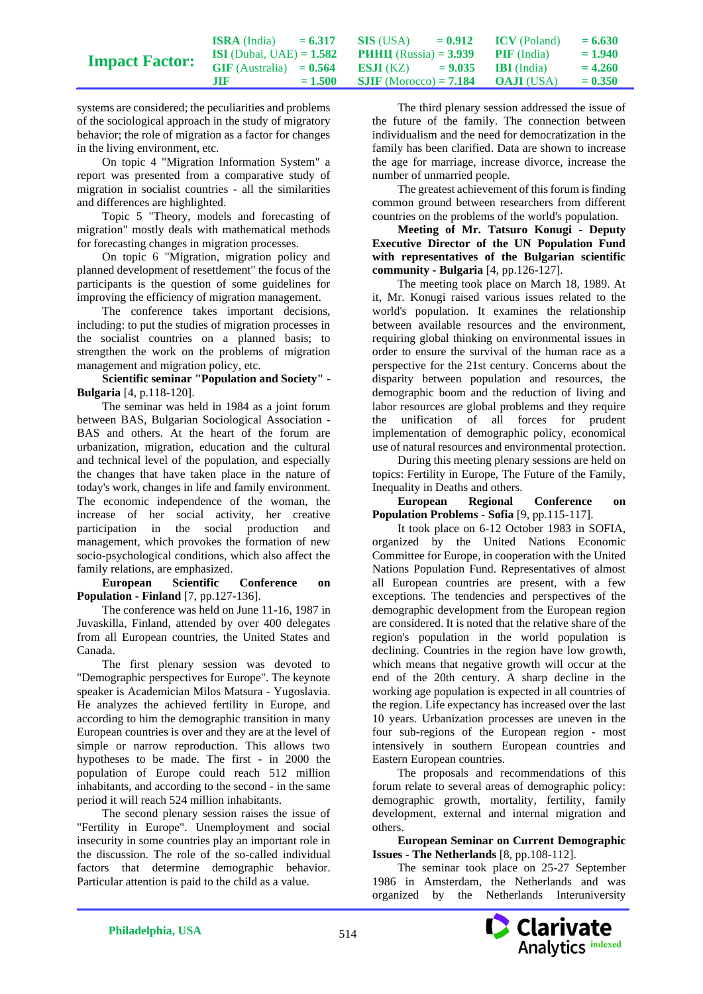|                       | <b>ISRA</b> (India)               | $= 6.317$ | SIS (USA)                                          | $= 0.912$ | <b>ICV</b> (Poland) | $= 6.630$ |
|-----------------------|-----------------------------------|-----------|----------------------------------------------------|-----------|---------------------|-----------|
| <b>Impact Factor:</b> | <b>ISI</b> (Dubai, UAE) = $1.582$ |           | <b>PHHII</b> (Russia) = $3.939$ <b>PIF</b> (India) |           |                     | $= 1.940$ |
|                       | $GIF$ (Australia) = $0.564$       |           | <b>ESJI</b> (KZ) $= 9.035$                         |           | <b>BI</b> (India)   | $= 4.260$ |
|                       | .IIR.                             | $= 1.500$ | <b>SJIF</b> (Morocco) = <b>7.184 OAJI</b> (USA)    |           |                     | $= 0.350$ |

systems are considered; the peculiarities and problems of the sociological approach in the study of migratory behavior; the role of migration as a factor for changes in the living environment, etc.

On topic 4 "Migration Information System" a report was presented from a comparative study of migration in socialist countries - all the similarities and differences are highlighted.

Topic 5 "Theory, models and forecasting of migration" mostly deals with mathematical methods for forecasting changes in migration processes.

On topic 6 "Migration, migration policy and planned development of resettlement" the focus of the participants is the question of some guidelines for improving the efficiency of migration management.

The conference takes important decisions, including: to put the studies of migration processes in the socialist countries on a planned basis; to strengthen the work on the problems of migration management and migration policy, etc.

**Scientific seminar "Population and Society" - Bulgaria** [4, p.118-120].

The seminar was held in 1984 as a joint forum between BAS, Bulgarian Sociological Association - BAS and others. At the heart of the forum are urbanization, migration, education and the cultural and technical level of the population, and especially the changes that have taken place in the nature of today's work, changes in life and family environment. The economic independence of the woman, the increase of her social activity, her creative participation in the social production and management, which provokes the formation of new socio-psychological conditions, which also affect the family relations, are emphasized.

**European Scientific Conference on Population - Finland** [7, pp.127-136].

The conference was held on June 11-16, 1987 in Juvaskilla, Finland, attended by over 400 delegates from all European countries, the United States and Canada.

The first plenary session was devoted to "Demographic perspectives for Europe". The keynote speaker is Academician Milos Matsura - Yugoslavia. He analyzes the achieved fertility in Europe, and according to him the demographic transition in many European countries is over and they are at the level of simple or narrow reproduction. This allows two hypotheses to be made. The first - in 2000 the population of Europe could reach 512 million inhabitants, and according to the second - in the same period it will reach 524 million inhabitants.

The second plenary session raises the issue of "Fertility in Europe". Unemployment and social insecurity in some countries play an important role in the discussion. The role of the so-called individual factors that determine demographic behavior. Particular attention is paid to the child as a value.

The third plenary session addressed the issue of the future of the family. The connection between individualism and the need for democratization in the family has been clarified. Data are shown to increase the age for marriage, increase divorce, increase the number of unmarried people.

The greatest achievement of this forum is finding common ground between researchers from different countries on the problems of the world's population.

**Meeting of Mr. Tatsuro Konugi - Deputy Executive Director of the UN Population Fund with representatives of the Bulgarian scientific community - Bulgaria** [4, pp.126-127].

The meeting took place on March 18, 1989. At it, Mr. Konugi raised various issues related to the world's population. It examines the relationship between available resources and the environment, requiring global thinking on environmental issues in order to ensure the survival of the human race as a perspective for the 21st century. Concerns about the disparity between population and resources, the demographic boom and the reduction of living and labor resources are global problems and they require the unification of all forces for prudent implementation of demographic policy, economical use of natural resources and environmental protection.

During this meeting plenary sessions are held on topics: Fertility in Europe, The Future of the Family, Inequality in Deaths and others.

**European Regional Conference on Population Problems - Sofia** [9, pp.115-117].

It took place on 6-12 October 1983 in SOFIA, organized by the United Nations Economic Committee for Europe, in cooperation with the United Nations Population Fund. Representatives of almost all European countries are present, with a few exceptions. The tendencies and perspectives of the demographic development from the European region are considered. It is noted that the relative share of the region's population in the world population is declining. Countries in the region have low growth, which means that negative growth will occur at the end of the 20th century. A sharp decline in the working age population is expected in all countries of the region. Life expectancy has increased over the last 10 years. Urbanization processes are uneven in the four sub-regions of the European region - most intensively in southern European countries and Eastern European countries.

The proposals and recommendations of this forum relate to several areas of demographic policy: demographic growth, mortality, fertility, family development, external and internal migration and others.

**European Seminar on Current Demographic Issues - The Netherlands** [8, pp.108-112].

The seminar took place on 25-27 September 1986 in Amsterdam, the Netherlands and was organized by the Netherlands Interuniversity

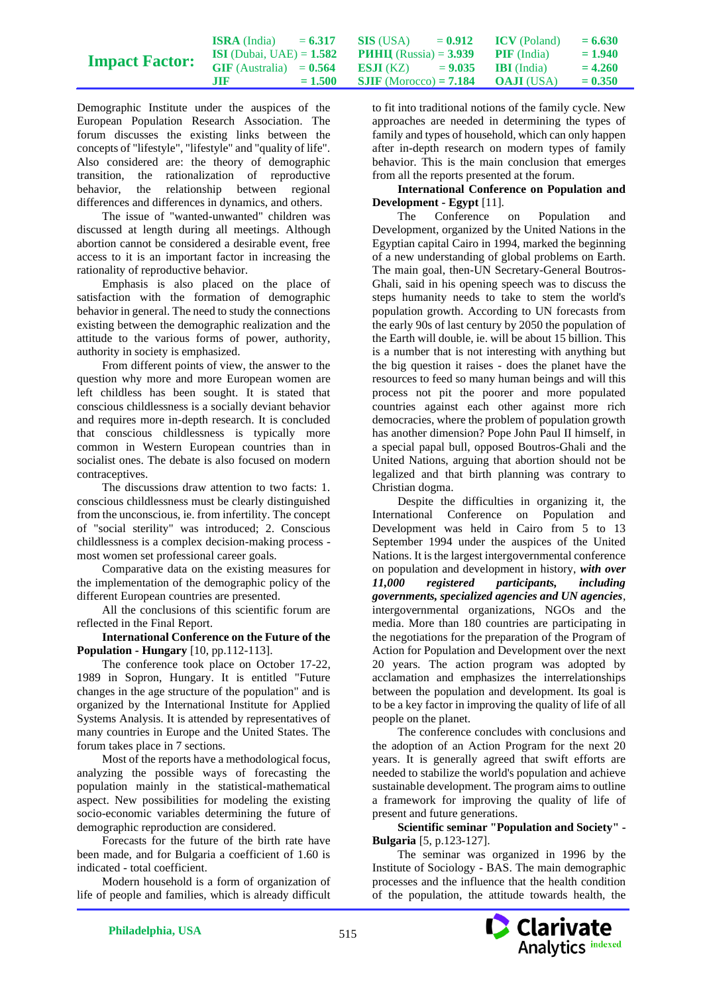|                       | <b>ISRA</b> (India)               | $= 6.317$ | SIS (USA)                                          | $= 0.912$ ICV (Poland) | $= 6.630$ |
|-----------------------|-----------------------------------|-----------|----------------------------------------------------|------------------------|-----------|
| <b>Impact Factor:</b> | <b>ISI</b> (Dubai, UAE) = $1.582$ |           | <b>PHHII</b> (Russia) = $3.939$ <b>PIF</b> (India) |                        | $= 1.940$ |
|                       | $GIF$ (Australia) = $0.564$       |           | <b>ESJI</b> (KZ) $= 9.035$ <b>IBI</b> (India)      |                        | $= 4.260$ |
|                       | .TIF                              | $= 1.500$ | <b>SJIF</b> (Morocco) = <b>7.184 OAJI</b> (USA)    |                        | $= 0.350$ |

Demographic Institute under the auspices of the European Population Research Association. The forum discusses the existing links between the concepts of "lifestyle", "lifestyle" and "quality of life". Also considered are: the theory of demographic transition, the rationalization of reproductive behavior, the relationship between regional differences and differences in dynamics, and others.

The issue of "wanted-unwanted" children was discussed at length during all meetings. Although abortion cannot be considered a desirable event, free access to it is an important factor in increasing the rationality of reproductive behavior.

Emphasis is also placed on the place of satisfaction with the formation of demographic behavior in general. The need to study the connections existing between the demographic realization and the attitude to the various forms of power, authority, authority in society is emphasized.

From different points of view, the answer to the question why more and more European women are left childless has been sought. It is stated that conscious childlessness is a socially deviant behavior and requires more in-depth research. It is concluded that conscious childlessness is typically more common in Western European countries than in socialist ones. The debate is also focused on modern contraceptives.

The discussions draw attention to two facts: 1. conscious childlessness must be clearly distinguished from the unconscious, ie. from infertility. The concept of "social sterility" was introduced; 2. Conscious childlessness is a complex decision-making process most women set professional career goals.

Comparative data on the existing measures for the implementation of the demographic policy of the different European countries are presented.

All the conclusions of this scientific forum are reflected in the Final Report.

**International Conference on the Future of the Population - Hungary** [10, pp.112-113].

The conference took place on October 17-22, 1989 in Sopron, Hungary. It is entitled "Future changes in the age structure of the population" and is organized by the International Institute for Applied Systems Analysis. It is attended by representatives of many countries in Europe and the United States. The forum takes place in 7 sections.

Most of the reports have a methodological focus, analyzing the possible ways of forecasting the population mainly in the statistical-mathematical aspect. New possibilities for modeling the existing socio-economic variables determining the future of demographic reproduction are considered.

Forecasts for the future of the birth rate have been made, and for Bulgaria a coefficient of 1.60 is indicated - total coefficient.

Modern household is a form of organization of life of people and families, which is already difficult

to fit into traditional notions of the family cycle. New approaches are needed in determining the types of family and types of household, which can only happen after in-depth research on modern types of family behavior. This is the main conclusion that emerges from all the reports presented at the forum.

## **International Conference on Population and Development - Egypt** [11].

The Conference on Population and Development, organized by the United Nations in the Egyptian capital Cairo in 1994, marked the beginning of a new understanding of global problems on Earth. The main goal, then-UN Secretary-General Boutros-Ghali, said in his opening speech was to discuss the steps humanity needs to take to stem the world's population growth. According to UN forecasts from the early 90s of last century by 2050 the population of the Earth will double, ie. will be about 15 billion. This is a number that is not interesting with anything but the big question it raises - does the planet have the resources to feed so many human beings and will this process not pit the poorer and more populated countries against each other against more rich democracies, where the problem of population growth has another dimension? Pope John Paul II himself, in a special papal bull, opposed Boutros-Ghali and the United Nations, arguing that abortion should not be legalized and that birth planning was contrary to Christian dogma.

Despite the difficulties in organizing it, the International Conference on Population and Development was held in Cairo from 5 to 13 September 1994 under the auspices of the United Nations. It is the largest intergovernmental conference on population and development in history, *with over 11,000 registered participants, including governments, specialized agencies and UN agencies*, intergovernmental organizations, NGOs and the media. More than 180 countries are participating in the negotiations for the preparation of the Program of Action for Population and Development over the next 20 years. The action program was adopted by acclamation and emphasizes the interrelationships between the population and development. Its goal is to be a key factor in improving the quality of life of all people on the planet.

The conference concludes with conclusions and the adoption of an Action Program for the next 20 years. It is generally agreed that swift efforts are needed to stabilize the world's population and achieve sustainable development. The program aims to outline a framework for improving the quality of life of present and future generations.

**Scientific seminar "Population and Society" - Bulgaria** [5, p.123-127].

The seminar was organized in 1996 by the Institute of Sociology - BAS. The main demographic processes and the influence that the health condition of the population, the attitude towards health, the

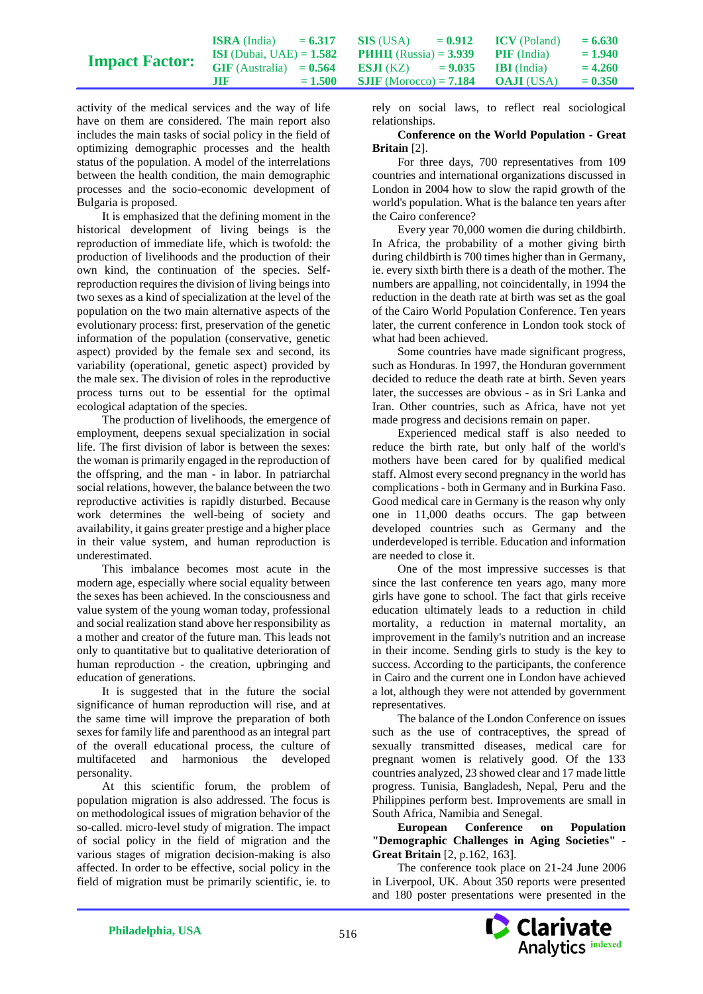|                       | <b>ISRA</b> (India)               | $= 6.317$ | SIS (USA)                       | $= 0.912$ | <b>ICV</b> (Poland) | $= 6.630$ |
|-----------------------|-----------------------------------|-----------|---------------------------------|-----------|---------------------|-----------|
| <b>Impact Factor:</b> | <b>ISI</b> (Dubai, UAE) = $1.582$ |           | <b>PHHII</b> (Russia) = $3.939$ |           | <b>PIF</b> (India)  | $= 1.940$ |
|                       | $GIF(Australia) = 0.564$          |           | <b>ES.II</b> (KZ) $= 9.035$     |           | <b>BI</b> (India)   | $= 4.260$ |
|                       | <b>ATTR</b>                       | $= 1.500$ | <b>SJIF</b> (Morocco) = $7.184$ |           | <b>OAJI</b> (USA)   | $= 0.350$ |

activity of the medical services and the way of life have on them are considered. The main report also includes the main tasks of social policy in the field of optimizing demographic processes and the health status of the population. A model of the interrelations between the health condition, the main demographic processes and the socio-economic development of Bulgaria is proposed.

It is emphasized that the defining moment in the historical development of living beings is the reproduction of immediate life, which is twofold: the production of livelihoods and the production of their own kind, the continuation of the species. Selfreproduction requires the division of living beings into two sexes as a kind of specialization at the level of the population on the two main alternative aspects of the evolutionary process: first, preservation of the genetic information of the population (conservative, genetic aspect) provided by the female sex and second, its variability (operational, genetic aspect) provided by the male sex. The division of roles in the reproductive process turns out to be essential for the optimal ecological adaptation of the species.

The production of livelihoods, the emergence of employment, deepens sexual specialization in social life. The first division of labor is between the sexes: the woman is primarily engaged in the reproduction of the offspring, and the man - in labor. In patriarchal social relations, however, the balance between the two reproductive activities is rapidly disturbed. Because work determines the well-being of society and availability, it gains greater prestige and a higher place in their value system, and human reproduction is underestimated.

This imbalance becomes most acute in the modern age, especially where social equality between the sexes has been achieved. In the consciousness and value system of the young woman today, professional and social realization stand above her responsibility as a mother and creator of the future man. This leads not only to quantitative but to qualitative deterioration of human reproduction - the creation, upbringing and education of generations.

It is suggested that in the future the social significance of human reproduction will rise, and at the same time will improve the preparation of both sexes for family life and parenthood as an integral part of the overall educational process, the culture of multifaceted and harmonious the developed personality.

At this scientific forum, the problem of population migration is also addressed. The focus is on methodological issues of migration behavior of the so-called. micro-level study of migration. The impact of social policy in the field of migration and the various stages of migration decision-making is also affected. In order to be effective, social policy in the field of migration must be primarily scientific, ie. to

rely on social laws, to reflect real sociological relationships.

**Conference on the World Population - Great Britain** [2].

For three days, 700 representatives from 109 countries and international organizations discussed in London in 2004 how to slow the rapid growth of the world's population. What is the balance ten years after the Cairo conference?

Every year 70,000 women die during childbirth. In Africa, the probability of a mother giving birth during childbirth is 700 times higher than in Germany, ie. every sixth birth there is a death of the mother. The numbers are appalling, not coincidentally, in 1994 the reduction in the death rate at birth was set as the goal of the Cairo World Population Conference. Ten years later, the current conference in London took stock of what had been achieved.

Some countries have made significant progress, such as Honduras. In 1997, the Honduran government decided to reduce the death rate at birth. Seven years later, the successes are obvious - as in Sri Lanka and Iran. Other countries, such as Africa, have not yet made progress and decisions remain on paper.

Experienced medical staff is also needed to reduce the birth rate, but only half of the world's mothers have been cared for by qualified medical staff. Almost every second pregnancy in the world has complications - both in Germany and in Burkina Faso. Good medical care in Germany is the reason why only one in 11,000 deaths occurs. The gap between developed countries such as Germany and the underdeveloped is terrible. Education and information are needed to close it.

One of the most impressive successes is that since the last conference ten years ago, many more girls have gone to school. The fact that girls receive education ultimately leads to a reduction in child mortality, a reduction in maternal mortality, an improvement in the family's nutrition and an increase in their income. Sending girls to study is the key to success. According to the participants, the conference in Cairo and the current one in London have achieved a lot, although they were not attended by government representatives.

The balance of the London Conference on issues such as the use of contraceptives, the spread of sexually transmitted diseases, medical care for pregnant women is relatively good. Of the 133 countries analyzed, 23 showed clear and 17 made little progress. Tunisia, Bangladesh, Nepal, Peru and the Philippines perform best. Improvements are small in South Africa, Namibia and Senegal.

**European Conference on Population "Demographic Challenges in Aging Societies" - Great Britain** [2, p.162, 163].

The conference took place on 21-24 June 2006 in Liverpool, UK. About 350 reports were presented and 180 poster presentations were presented in the

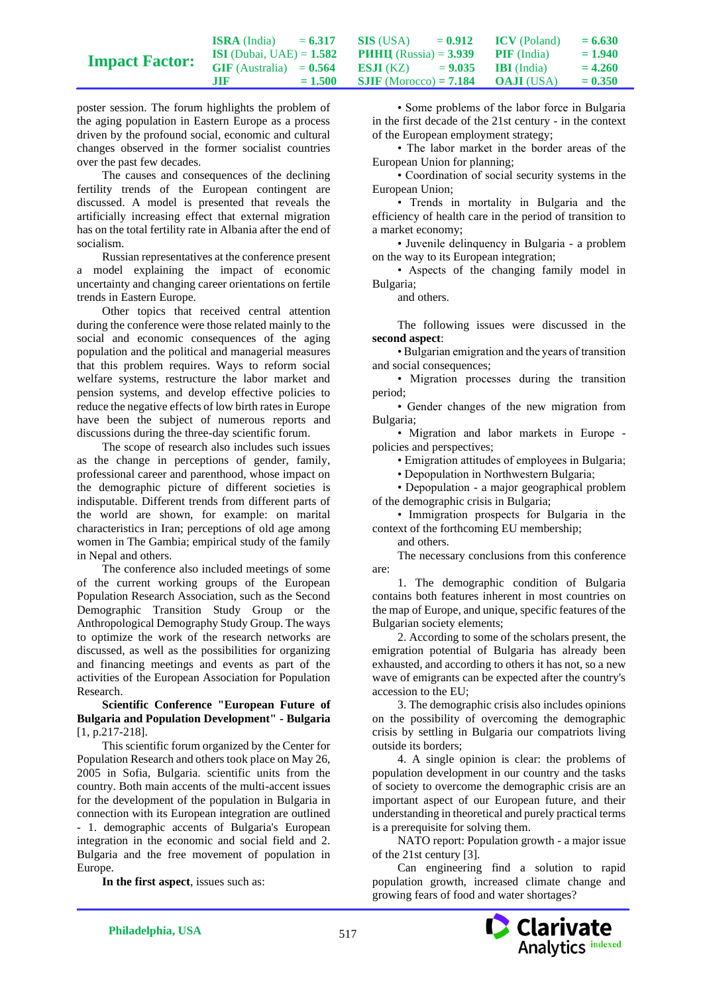|                       | <b>ISRA</b> (India)               | $= 6.317$ | SIS (USA)                       | $= 0.912$ | <b>ICV</b> (Poland) | $= 6.630$ |
|-----------------------|-----------------------------------|-----------|---------------------------------|-----------|---------------------|-----------|
| <b>Impact Factor:</b> | <b>ISI</b> (Dubai, UAE) = $1.582$ |           | <b>PHHII</b> (Russia) = $3.939$ |           | <b>PIF</b> (India)  | $= 1.940$ |
|                       | $GIF$ (Australia) = $0.564$       |           | <b>ES.II</b> (KZ) $= 9.035$     |           | <b>BI</b> (India)   | $= 4.260$ |
|                       | .TIF                              | $= 1.500$ | <b>SJIF</b> (Morocco) = $7.184$ |           | <b>OAJI</b> (USA)   | $= 0.350$ |

poster session. The forum highlights the problem of the aging population in Eastern Europe as a process driven by the profound social, economic and cultural changes observed in the former socialist countries over the past few decades.

The causes and consequences of the declining fertility trends of the European contingent are discussed. A model is presented that reveals the artificially increasing effect that external migration has on the total fertility rate in Albania after the end of socialism.

Russian representatives at the conference present a model explaining the impact of economic uncertainty and changing career orientations on fertile trends in Eastern Europe.

Other topics that received central attention during the conference were those related mainly to the social and economic consequences of the aging population and the political and managerial measures that this problem requires. Ways to reform social welfare systems, restructure the labor market and pension systems, and develop effective policies to reduce the negative effects of low birth rates in Europe have been the subject of numerous reports and discussions during the three-day scientific forum.

The scope of research also includes such issues as the change in perceptions of gender, family, professional career and parenthood, whose impact on the demographic picture of different societies is indisputable. Different trends from different parts of the world are shown, for example: on marital characteristics in Iran; perceptions of old age among women in The Gambia; empirical study of the family in Nepal and others.

The conference also included meetings of some of the current working groups of the European Population Research Association, such as the Second Demographic Transition Study Group or the Anthropological Demography Study Group. The ways to optimize the work of the research networks are discussed, as well as the possibilities for organizing and financing meetings and events as part of the activities of the European Association for Population Research.

**Scientific Conference "European Future of Bulgaria and Population Development" - Bulgaria** [1, p.217-218].

This scientific forum organized by the Center for Population Research and others took place on May 26, 2005 in Sofia, Bulgaria. scientific units from the country. Both main accents of the multi-accent issues for the development of the population in Bulgaria in connection with its European integration are outlined - 1. demographic accents of Bulgaria's European integration in the economic and social field and 2. Bulgaria and the free movement of population in Europe.

**In the first aspect**, issues such as:

• Some problems of the labor force in Bulgaria in the first decade of the 21st century - in the context of the European employment strategy;

• The labor market in the border areas of the European Union for planning;

• Coordination of social security systems in the European Union;

• Trends in mortality in Bulgaria and the efficiency of health care in the period of transition to a market economy;

• Juvenile delinquency in Bulgaria - a problem on the way to its European integration;

• Aspects of the changing family model in Bulgaria;

and others.

The following issues were discussed in the **second aspect**:

• Bulgarian emigration and the years of transition and social consequences;

• Migration processes during the transition period;

• Gender changes of the new migration from Bulgaria;

• Migration and labor markets in Europe policies and perspectives;

• Emigration attitudes of employees in Bulgaria;

• Depopulation in Northwestern Bulgaria;

• Depopulation - a major geographical problem of the demographic crisis in Bulgaria;

• Immigration prospects for Bulgaria in the context of the forthcoming EU membership;

and others.

The necessary conclusions from this conference are:

1. The demographic condition of Bulgaria contains both features inherent in most countries on the map of Europe, and unique, specific features of the Bulgarian society elements;

2. According to some of the scholars present, the emigration potential of Bulgaria has already been exhausted, and according to others it has not, so a new wave of emigrants can be expected after the country's accession to the EU;

3. The demographic crisis also includes opinions on the possibility of overcoming the demographic crisis by settling in Bulgaria our compatriots living outside its borders;

4. A single opinion is clear: the problems of population development in our country and the tasks of society to overcome the demographic crisis are an important aspect of our European future, and their understanding in theoretical and purely practical terms is a prerequisite for solving them.

NATO report: Population growth - a major issue of the 21st century [3].

Can engineering find a solution to rapid population growth, increased climate change and growing fears of food and water shortages?

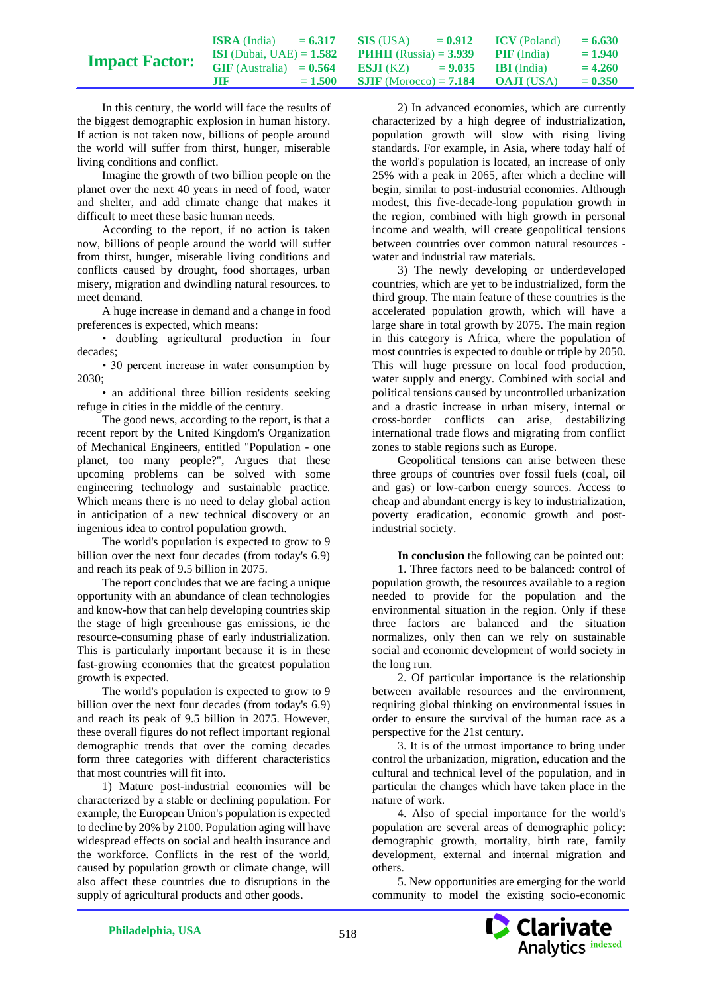|                       | <b>ISRA</b> (India)               | $= 6.317$ | SIS (USA)                       | $= 0.912$ | <b>ICV</b> (Poland) | $= 6.630$ |
|-----------------------|-----------------------------------|-----------|---------------------------------|-----------|---------------------|-----------|
| <b>Impact Factor:</b> | <b>ISI</b> (Dubai, UAE) = $1.582$ |           | <b>PHHII</b> (Russia) = $3.939$ |           | <b>PIF</b> (India)  | $= 1.940$ |
|                       | $GIF$ (Australia) = $0.564$       |           | <b>ES.II</b> (KZ) $= 9.035$     |           | <b>IBI</b> (India)  | $= 4.260$ |
|                       | m                                 | $= 1.500$ | <b>SJIF</b> (Morocco) = $7.184$ |           | <b>OAJI</b> (USA)   | $= 0.350$ |

In this century, the world will face the results of the biggest demographic explosion in human history. If action is not taken now, billions of people around the world will suffer from thirst, hunger, miserable living conditions and conflict.

Imagine the growth of two billion people on the planet over the next 40 years in need of food, water and shelter, and add climate change that makes it difficult to meet these basic human needs.

According to the report, if no action is taken now, billions of people around the world will suffer from thirst, hunger, miserable living conditions and conflicts caused by drought, food shortages, urban misery, migration and dwindling natural resources. to meet demand.

A huge increase in demand and a change in food preferences is expected, which means:

• doubling agricultural production in four decades;

• 30 percent increase in water consumption by 2030;

• an additional three billion residents seeking refuge in cities in the middle of the century.

The good news, according to the report, is that a recent report by the United Kingdom's Organization of Mechanical Engineers, entitled "Population - one planet, too many people?", Argues that these upcoming problems can be solved with some engineering technology and sustainable practice. Which means there is no need to delay global action in anticipation of a new technical discovery or an ingenious idea to control population growth.

The world's population is expected to grow to 9 billion over the next four decades (from today's 6.9) and reach its peak of 9.5 billion in 2075.

The report concludes that we are facing a unique opportunity with an abundance of clean technologies and know-how that can help developing countries skip the stage of high greenhouse gas emissions, ie the resource-consuming phase of early industrialization. This is particularly important because it is in these fast-growing economies that the greatest population growth is expected.

The world's population is expected to grow to 9 billion over the next four decades (from today's 6.9) and reach its peak of 9.5 billion in 2075. However, these overall figures do not reflect important regional demographic trends that over the coming decades form three categories with different characteristics that most countries will fit into.

1) Mature post-industrial economies will be characterized by a stable or declining population. For example, the European Union's population is expected to decline by 20% by 2100. Population aging will have widespread effects on social and health insurance and the workforce. Conflicts in the rest of the world, caused by population growth or climate change, will also affect these countries due to disruptions in the supply of agricultural products and other goods.

2) In advanced economies, which are currently characterized by a high degree of industrialization, population growth will slow with rising living standards. For example, in Asia, where today half of the world's population is located, an increase of only 25% with a peak in 2065, after which a decline will begin, similar to post-industrial economies. Although modest, this five-decade-long population growth in the region, combined with high growth in personal income and wealth, will create geopolitical tensions between countries over common natural resources water and industrial raw materials.

3) The newly developing or underdeveloped countries, which are yet to be industrialized, form the third group. The main feature of these countries is the accelerated population growth, which will have a large share in total growth by 2075. The main region in this category is Africa, where the population of most countries is expected to double or triple by 2050. This will huge pressure on local food production, water supply and energy. Combined with social and political tensions caused by uncontrolled urbanization and a drastic increase in urban misery, internal or cross-border conflicts can arise, destabilizing international trade flows and migrating from conflict zones to stable regions such as Europe.

Geopolitical tensions can arise between these three groups of countries over fossil fuels (coal, oil and gas) or low-carbon energy sources. Access to cheap and abundant energy is key to industrialization, poverty eradication, economic growth and postindustrial society.

**In conclusion** the following can be pointed out:

1. Three factors need to be balanced: control of population growth, the resources available to a region needed to provide for the population and the environmental situation in the region. Only if these three factors are balanced and the situation normalizes, only then can we rely on sustainable social and economic development of world society in the long run.

2. Of particular importance is the relationship between available resources and the environment, requiring global thinking on environmental issues in order to ensure the survival of the human race as a perspective for the 21st century.

3. It is of the utmost importance to bring under control the urbanization, migration, education and the cultural and technical level of the population, and in particular the changes which have taken place in the nature of work.

4. Also of special importance for the world's population are several areas of demographic policy: demographic growth, mortality, birth rate, family development, external and internal migration and others.

5. New opportunities are emerging for the world community to model the existing socio-economic